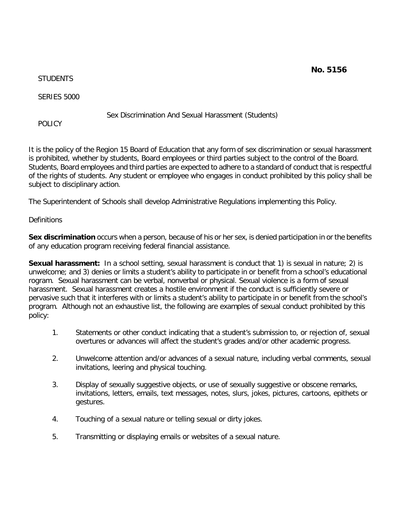**No. 5156**

**STUDENTS** 

SERIES 5000

Sex Discrimination And Sexual Harassment (Students)

POLICY.

It is the policy of the Region 15 Board of Education that any form of sex discrimination or sexual harassment is prohibited, whether by students, Board employees or third parties subject to the control of the Board. Students, Board employees and third parties are expected to adhere to a standard of conduct that is respectful of the rights of students. Any student or employee who engages in conduct prohibited by this policy shall be subject to disciplinary action.

The Superintendent of Schools shall develop Administrative Regulations implementing this Policy.

### **Definitions**

**Sex discrimination** occurs when a person, because of his or her sex, is denied participation in or the benefits of any education program receiving federal financial assistance.

**Sexual harassment:** In a school setting, sexual harassment is conduct that 1) is sexual in nature; 2) is unwelcome; and 3) denies or limits a student's ability to participate in or benefit from a school's educational rogram. Sexual harassment can be verbal, nonverbal or physical. Sexual violence is a form of sexual harassment. Sexual harassment creates a hostile environment if the conduct is sufficiently severe or pervasive such that it interferes with or limits a student's ability to participate in or benefit from the school's program. Although not an exhaustive list, the following are examples of sexual conduct prohibited by this policy:

- 1. Statements or other conduct indicating that a student's submission to, or rejection of, sexual overtures or advances will affect the student's grades and/or other academic progress.
- 2. Unwelcome attention and/or advances of a sexual nature, including verbal comments, sexual invitations, leering and physical touching.
- 3. Display of sexually suggestive objects, or use of sexually suggestive or obscene remarks, invitations, letters, emails, text messages, notes, slurs, jokes, pictures, cartoons, epithets or gestures.
- 4. Touching of a sexual nature or telling sexual or dirty jokes.
- 5. Transmitting or displaying emails or websites of a sexual nature.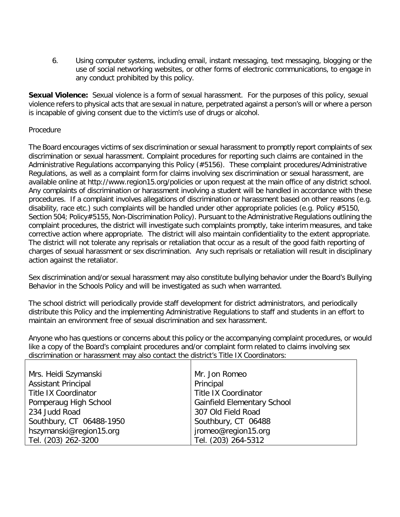6. Using computer systems, including email, instant messaging, text messaging, blogging or the use of social networking websites, or other forms of electronic communications, to engage in any conduct prohibited by this policy.

**Sexual Violence:** Sexual violence is a form of sexual harassment. For the purposes of this policy, sexual violence refers to physical acts that are sexual in nature, perpetrated against a person's will or where a person is incapable of giving consent due to the victim's use of drugs or alcohol.

### Procedure

The Board encourages victims of sex discrimination or sexual harassment to promptly report complaints of sex discrimination or sexual harassment. Complaint procedures for reporting such claims are contained in the Administrative Regulations accompanying this Policy (#5156). These complaint procedures/Administrative Regulations, as well as a complaint form for claims involving sex discrimination or sexual harassment, are available online at<http://www.region15.org/policies> or upon request at the main office of any district school. Any complaints of discrimination or harassment involving a student will be handled in accordance with these procedures. If a complaint involves allegations of discrimination or harassment based on other reasons (e.g. disability, race etc.) such complaints will be handled under other appropriate policies (e.g. Policy #5150, Section 504; Policy#5155, Non-Discrimination Policy). Pursuant to the Administrative Regulations outlining the complaint procedures, the district will investigate such complaints promptly, take interim measures, and take corrective action where appropriate. The district will also maintain confidentiality to the extent appropriate. The district will not tolerate any reprisals or retaliation that occur as a result of the good faith reporting of charges of sexual harassment or sex discrimination. Any such reprisals or retaliation will result in disciplinary action against the retaliator.

Sex discrimination and/or sexual harassment may also constitute bullying behavior under the Board's Bullying Behavior in the Schools Policy and will be investigated as such when warranted.

The school district will periodically provide staff development for district administrators, and periodically distribute this Policy and the implementing Administrative Regulations to staff and students in an effort to maintain an environment free of sexual discrimination and sex harassment.

Anyone who has questions or concerns about this policy or the accompanying complaint procedures, or would like a copy of the Board's complaint procedures and/or complaint form related to claims involving sex discrimination or harassment may also contact the district's Title IX Coordinators:

| Mrs. Heidi Szymanski        | Mr. Jon Romeo                      |
|-----------------------------|------------------------------------|
| <b>Assistant Principal</b>  | Principal                          |
| <b>Title IX Coordinator</b> | <b>Title IX Coordinator</b>        |
| Pomperaug High School       | <b>Gainfield Elementary School</b> |
| 234 Judd Road               | 307 Old Field Road                 |
| Southbury, CT 06488-1950    | Southbury, CT 06488                |
| hszymanski@region15.org     | jromeo@region15.org                |
| Tel. (203) 262-3200         | Tel. (203) 264-5312                |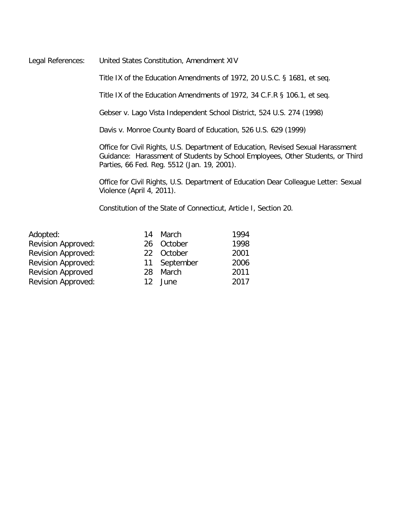Legal References: United States Constitution, Amendment XIV

Title IX of the Education Amendments of 1972, 20 U.S.C. § 1681, et seq.

Title IX of the Education Amendments of 1972, 34 C.F.R § 106.1, et seq.

Gebser v. Lago Vista Independent School District, 524 U.S. 274 (1998)

Davis v. Monroe County Board of Education, 526 U.S. 629 (1999)

Office for Civil Rights, U.S. Department of Education, Revised Sexual Harassment Guidance: Harassment of Students by School Employees, Other Students, or Third Parties, 66 Fed. Reg. 5512 (Jan. 19, 2001).

Office for Civil Rights, U.S. Department of Education Dear Colleague Letter: Sexual Violence (April 4, 2011).

Constitution of the State of Connecticut, Article I, Section 20.

| Adopted:                  |
|---------------------------|
| Revision Approved:        |
| Revision Approved:        |
| <b>Revision Approved:</b> |
| <b>Revision Approved</b>  |
| Revision Approved:        |

| Adopted:                  |     | 14 March     | 1994 |
|---------------------------|-----|--------------|------|
| <b>Revision Approved:</b> |     | 26 October   | 1998 |
| <b>Revision Approved:</b> |     | 22 October   | 2001 |
| <b>Revision Approved:</b> |     | 11 September | 2006 |
| <b>Revision Approved</b>  |     | 28 March     | 2011 |
| Revision Approved:        | 12. | June         | 2017 |
|                           |     |              |      |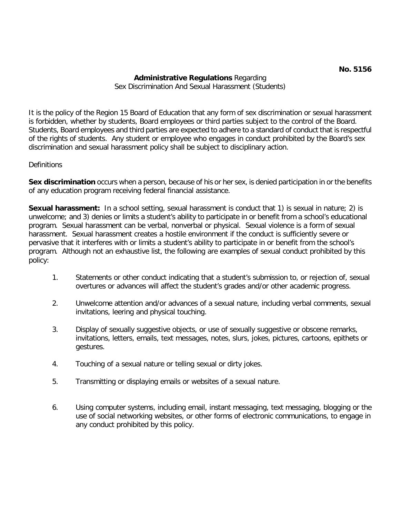# **Administrative Regulations** Regarding Sex Discrimination And Sexual Harassment (Students)

It is the policy of the Region 15 Board of Education that any form of sex discrimination or sexual harassment is forbidden, whether by students, Board employees or third parties subject to the control of the Board. Students, Board employees and third parties are expected to adhere to a standard of conduct that is respectful of the rights of students. Any student or employee who engages in conduct prohibited by the Board's sex discrimination and sexual harassment policy shall be subject to disciplinary action.

# **Definitions**

**Sex discrimination** occurs when a person, because of his or her sex, is denied participation in or the benefits of any education program receiving federal financial assistance.

Sexual harassment: In a school setting, sexual harassment is conduct that 1) is sexual in nature; 2) is unwelcome; and 3) denies or limits a student's ability to participate in or benefit from a school's educational program. Sexual harassment can be verbal, nonverbal or physical. Sexual violence is a form of sexual harassment. Sexual harassment creates a hostile environment if the conduct is sufficiently severe or pervasive that it interferes with or limits a student's ability to participate in or benefit from the school's program. Although not an exhaustive list, the following are examples of sexual conduct prohibited by this policy:

- 1. Statements or other conduct indicating that a student's submission to, or rejection of, sexual overtures or advances will affect the student's grades and/or other academic progress.
- 2. Unwelcome attention and/or advances of a sexual nature, including verbal comments, sexual invitations, leering and physical touching.
- 3. Display of sexually suggestive objects, or use of sexually suggestive or obscene remarks, invitations, letters, emails, text messages, notes, slurs, jokes, pictures, cartoons, epithets or gestures.
- 4. Touching of a sexual nature or telling sexual or dirty jokes.
- 5. Transmitting or displaying emails or websites of a sexual nature.
- 6. Using computer systems, including email, instant messaging, text messaging, blogging or the use of social networking websites, or other forms of electronic communications, to engage in any conduct prohibited by this policy.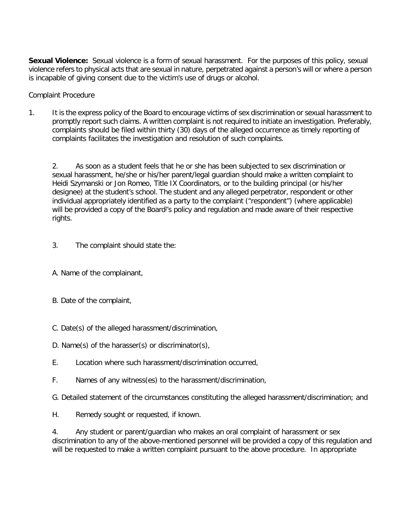**Sexual Violence:** Sexual violence is a form of sexual harassment. For the purposes of this policy, sexual violence refers to physical acts that are sexual in nature, perpetrated against a person's will or where a person is incapable of giving consent due to the victim's use of drugs or alcohol.

Complaint Procedure

1. It is the express policy of the Board to encourage victims of sex discrimination or sexual harassment to promptly report such claims. A written complaint is not required to initiate an investigation. Preferably, complaints should be filed within thirty (30) days of the alleged occurrence as timely reporting of complaints facilitates the investigation and resolution of such complaints.

2. As soon as a student feels that he or she has been subjected to sex discrimination or sexual harassment, he/she or his/her parent/legal guardian should make a written complaint to Heidi Szymanski or Jon Romeo, Title IX Coordinators, or to the building principal (or his/her designee) at the student's school. The student and any alleged perpetrator, respondent or other individual appropriately identified as a party to the complaint ("respondent") (where applicable) will be provided a copy of the Board<sup>1</sup>'s policy and regulation and made aware of their respective rights.

- 3. The complaint should state the:
- A. Name of the complainant,
- B. Date of the complaint,
- C. Date(s) of the alleged harassment/discrimination,
- D. Name(s) of the harasser(s) or discriminator(s),
- E. Location where such harassment/discrimination occurred,
- F. Names of any witness(es) to the harassment/discrimination,
- G. Detailed statement of the circumstances constituting the alleged harassment/discrimination; and
- H. Remedy sought or requested, if known.

4. Any student or parent/guardian who makes an oral complaint of harassment or sex discrimination to any of the above-mentioned personnel will be provided a copy of this regulation and will be requested to make a written complaint pursuant to the above procedure. In appropriate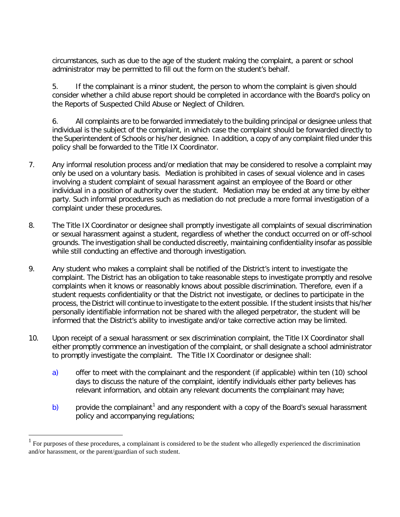circumstances, such as due to the age of the student making the complaint, a parent or school administrator may be permitted to fill out the form on the student's behalf.

5. If the complainant is a minor student, the person to whom the complaint is given should consider whether a child abuse report should be completed in accordance with the Board's policy on the Reports of Suspected Child Abuse or Neglect of Children.

6. All complaints are to be forwarded immediately to the building principal or designee unless that individual is the subject of the complaint, in which case the complaint should be forwarded directly to the Superintendent of Schools or his/her designee. In addition, a copy of any complaint filed under this policy shall be forwarded to the Title IX Coordinator.

- 7. Any informal resolution process and/or mediation that may be considered to resolve a complaint may only be used on a voluntary basis. Mediation is prohibited in cases of sexual violence and in cases involving a student complaint of sexual harassment against an employee of the Board or other individual in a position of authority over the student. Mediation may be ended at any time by either party. Such informal procedures such as mediation do not preclude a more formal investigation of a complaint under these procedures.
- 8. The Title IX Coordinator or designee shall promptly investigate all complaints of sexual discrimination or sexual harassment against a student, regardless of whether the conduct occurred on or off-school grounds. The investigation shall be conducted discreetly, maintaining confidentiality insofar as possible while still conducting an effective and thorough investigation.
- 9. Any student who makes a complaint shall be notified of the District's intent to investigate the complaint. The District has an obligation to take reasonable steps to investigate promptly and resolve complaints when it knows or reasonably knows about possible discrimination. Therefore, even if a student requests confidentiality or that the District not investigate, or declines to participate in the process, the District will continue to investigate to the extent possible. If the student insists that his/her personally identifiable information not be shared with the alleged perpetrator, the student will be informed that the District's ability to investigate and/or take corrective action may be limited.
- 10. Upon receipt of a sexual harassment or sex discrimination complaint, the Title IX Coordinator shall either promptly commence an investigation of the complaint, or shall designate a school administrator to promptly investigate the complaint. The Title IX Coordinator or designee shall:
	- a) offer to meet with the complainant and the respondent (if applicable) within ten (10) school days to discuss the nature of the complaint, identify individuals either party believes has relevant information, and obtain any relevant documents the complainant may have;
	- b) provide the complainant<sup>[1](#page-5-0)</sup> and any respondent with a copy of the Board's sexual harassment policy and accompanying regulations;

<span id="page-5-0"></span> <sup>1</sup> For purposes of these procedures, a complainant is considered to be the student who allegedly experienced the discrimination and/or harassment, or the parent/guardian of such student.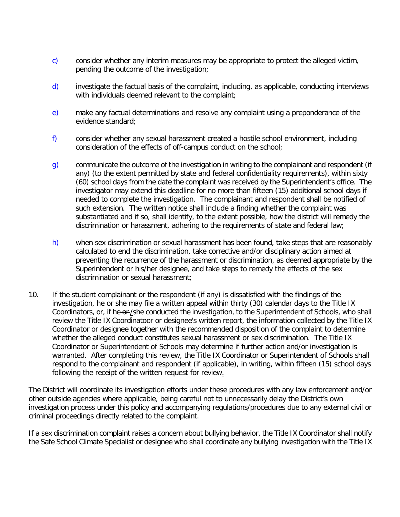- c) consider whether any interim measures may be appropriate to protect the alleged victim, pending the outcome of the investigation;
- d) investigate the factual basis of the complaint, including, as applicable, conducting interviews with individuals deemed relevant to the complaint;
- e) make any factual determinations and resolve any complaint using a preponderance of the evidence standard;
- f) consider whether any sexual harassment created a hostile school environment, including consideration of the effects of off-campus conduct on the school;
- g) communicate the outcome of the investigation in writing to the complainant and respondent (if any) (to the extent permitted by state and federal confidentiality requirements), within sixty (60) school days from the date the complaint was received by the Superintendent's office. The investigator may extend this deadline for no more than fifteen (15) additional school days if needed to complete the investigation. The complainant and respondent shall be notified of such extension. The written notice shall include a finding whether the complaint was substantiated and if so, shall identify, to the extent possible, how the district will remedy the discrimination or harassment, adhering to the requirements of state and federal law;
- h) when sex discrimination or sexual harassment has been found, take steps that are reasonably calculated to end the discrimination, take corrective and/or disciplinary action aimed at preventing the recurrence of the harassment or discrimination, as deemed appropriate by the Superintendent or his/her designee, and take steps to remedy the effects of the sex discrimination or sexual harassment;
- 10. If the student complainant or the respondent (if any) is dissatisfied with the findings of the investigation, he or she may file a written appeal within thirty (30) calendar days to the Title IX Coordinators, or, if he or-/she conducted the investigation, to the Superintendent of Schools, who shall review the Title IX Coordinatoor or designee's written report, the information collected by the Title IX Coordinator or designee together with the recommended disposition of the complaint to determine whether the alleged conduct constitutes sexual harassment or sex discrimination. The Title IX Coordinator or Superintendent of Schools may determine if further action and/or investigation is warranted. After completing this review, the Title IX Coordinator or Superintendent of Schools shall respond to the complainant and respondent (if applicable), in writing, within fifteen (15) school days following the receipt of the written request for review.

The District will coordinate its investigation efforts under these procedures with any law enforcement and/or other outside agencies where applicable, being careful not to unnecessarily delay the District's own investigation process under this policy and accompanying regulations/procedures due to any external civil or criminal proceedings directly related to the complaint.

If a sex discrimination complaint raises a concern about bullying behavior, the Title IX Coordinator shall notify the Safe School Climate Specialist or designee who shall coordinate any bullying investigation with the Title IX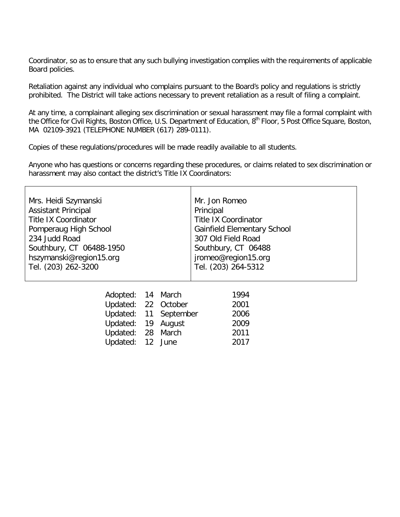Coordinator, so as to ensure that any such bullying investigation complies with the requirements of applicable Board policies.

Retaliation against any individual who complains pursuant to the Board's policy and regulations is strictly prohibited. The District will take actions necessary to prevent retaliation as a result of filing a complaint.

At any time, a complainant alleging sex discrimination or sexual harassment may file a formal complaint with the Office for Civil Rights, Boston Office, U.S. Department of Education, 8<sup>th</sup> Floor, 5 Post Office Square, Boston, MA 02109-3921 (TELEPHONE NUMBER (617) 289-0111).

Copies of these regulations/procedures will be made readily available to all students.

Anyone who has questions or concerns regarding these procedures, or claims related to sex discrimination or harassment may also contact the district's Title IX Coordinators:

| Mrs. Heidi Szymanski<br><b>Assistant Principal</b><br><b>Title IX Coordinator</b><br>Pomperaug High School<br>234 Judd Road<br>Southbury, CT 06488-1950<br>hszymanski@region15.org<br>Tel. (203) 262-3200 |        | Mr. Jon Romeo<br>Principal<br><b>Title IX Coordinator</b><br><b>Gainfield Elementary School</b><br>307 Old Field Road<br>Southbury, CT 06488<br>jromeo@region15.org<br>Tel. (203) 264-5312 |
|-----------------------------------------------------------------------------------------------------------------------------------------------------------------------------------------------------------|--------|--------------------------------------------------------------------------------------------------------------------------------------------------------------------------------------------|
| Adopted: 14 March<br>Updated: 22 October<br>Updated: 11 September<br>Updated: 19<br>Updated: 28 March<br>Updated: 12 June                                                                                 | August | 1994<br>2001<br>2006<br>2009<br>2011<br>2017                                                                                                                                               |